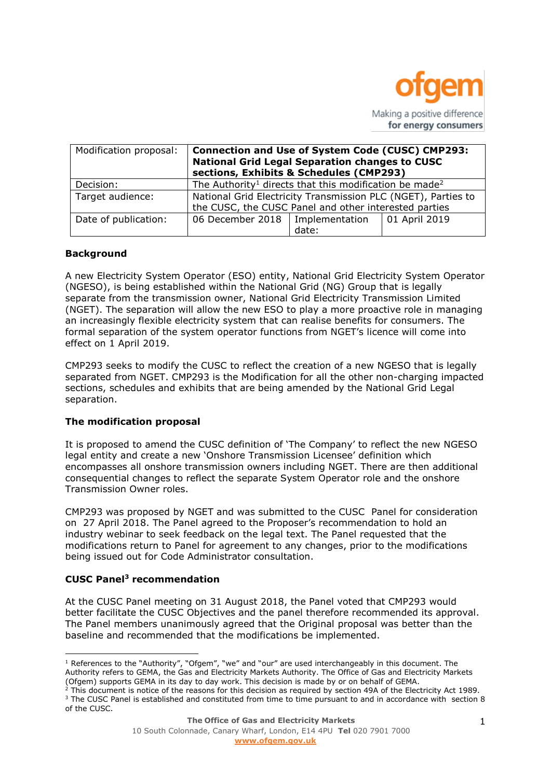

| Modification proposal: | <b>Connection and Use of System Code (CUSC) CMP293:</b><br><b>National Grid Legal Separation changes to CUSC</b><br>sections, Exhibits & Schedules (CMP293) |       |               |
|------------------------|-------------------------------------------------------------------------------------------------------------------------------------------------------------|-------|---------------|
| Decision:              | The Authority <sup>1</sup> directs that this modification be made <sup>2</sup>                                                                              |       |               |
| Target audience:       | National Grid Electricity Transmission PLC (NGET), Parties to<br>the CUSC, the CUSC Panel and other interested parties                                      |       |               |
| Date of publication:   | 06 December 2018   Implementation                                                                                                                           | date: | 01 April 2019 |

# **Background**

A new Electricity System Operator (ESO) entity, National Grid Electricity System Operator (NGESO), is being established within the National Grid (NG) Group that is legally separate from the transmission owner, National Grid Electricity Transmission Limited (NGET). The separation will allow the new ESO to play a more proactive role in managing an increasingly flexible electricity system that can realise benefits for consumers. The formal separation of the system operator functions from NGET's licence will come into effect on 1 April 2019.

CMP293 seeks to modify the CUSC to reflect the creation of a new NGESO that is legally separated from NGET. CMP293 is the Modification for all the other non-charging impacted sections, schedules and exhibits that are being amended by the National Grid Legal separation.

#### **The modification proposal**

It is proposed to amend the CUSC definition of 'The Company' to reflect the new NGESO legal entity and create a new 'Onshore Transmission Licensee' definition which encompasses all onshore transmission owners including NGET. There are then additional consequential changes to reflect the separate System Operator role and the onshore Transmission Owner roles.

CMP293 was proposed by NGET and was submitted to the CUSC Panel for consideration on 27 April 2018. The Panel agreed to the Proposer's recommendation to hold an industry webinar to seek feedback on the legal text. The Panel requested that the modifications return to Panel for agreement to any changes, prior to the modifications being issued out for Code Administrator consultation.

# **CUSC Panel<sup>3</sup> recommendation**

 $\overline{a}$ 

At the CUSC Panel meeting on 31 August 2018, the Panel voted that CMP293 would better facilitate the CUSC Objectives and the panel therefore recommended its approval. The Panel members unanimously agreed that the Original proposal was better than the baseline and recommended that the modifications be implemented.

 $1$  References to the "Authority", "Ofgem", "we" and "our" are used interchangeably in this document. The Authority refers to GEMA, the Gas and Electricity Markets Authority. The Office of Gas and Electricity Markets (Ofgem) supports GEMA in its day to day work. This decision is made by or on behalf of GEMA.

<sup>2</sup> This document is notice of the reasons for this decision as required by section 49A of the Electricity Act 1989. <sup>3</sup> The CUSC Panel is established and constituted from time to time pursuant to and in accordance with section 8 of the CUSC.